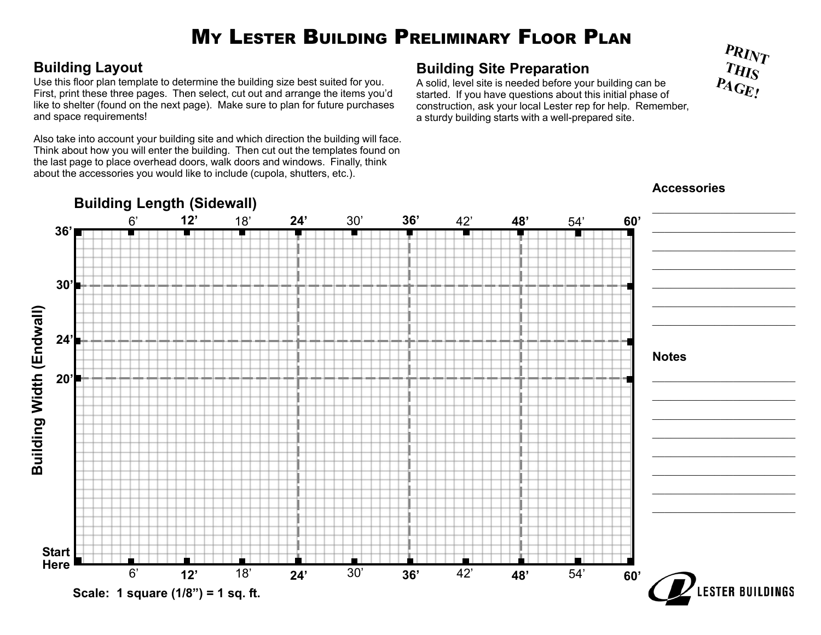# M Y LESTER BUILDING PRELIMINARY FLOOR PLAN

#### **Building Layout**

Use this floor plan template to determine the building size best suited for you. First, print these three pages. Then select, cut out and arrange the items you'd like to shelter (found on the next page). Make sure to plan for future purchases and space requirements!

Also take into account your building site and which direction the building will face. Think about how you will enter the building. Then cut out the templates found on the last page to place overhead doors, walk doors and windows. Finally, think about the accessories you would like to include (cupola, shutters, etc.).

#### **Building Site Preparation**

A solid, level site is needed before your building can be started. If you have questions about this initial phase of construction, ask your local Lester rep for help. Remember, a sturdy building starts with a well-prepared site.



**Accessories**

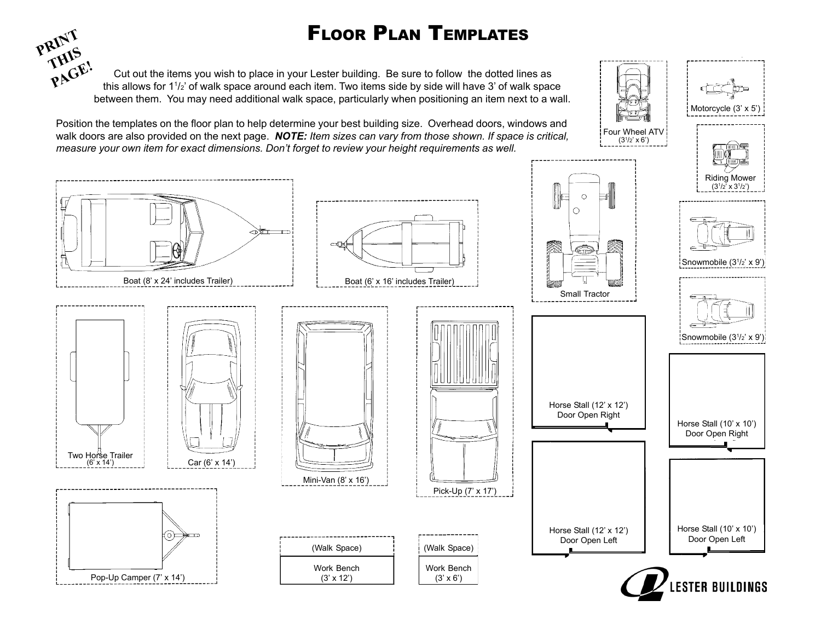## FLOOR PLAN TEMPLATES



 Cut out the items you wish to place in your Lester building. Be sure to follow the dotted lines as this allows for 11/2' of walk space around each item. Two items side by side will have 3' of walk space between them. You may need additional walk space, particularly when positioning an item next to a wall.

Position the templates on the floor plan to help determine your best building size. Overhead doors, windows and walk doors are also provided on the next page. *NOTE: Item sizes can vary from those shown. If space is critical, measure your own item for exact dimensions. Don't forget to review your height requirements as well.*



Motorcycle (3' x 5' Riding Mower  $(3^{1}/2^{7} \times 3^{1}/2)$ Snowmobile (3<sup>1</sup>/<sub>2</sub>' x 9')







Boat (8' x 24' includes Trailer) enterially expressed by Boat (6' x 16' includes Trailer)







⊂ন⊮





(Walk Space) Work Bench (3' x 6')